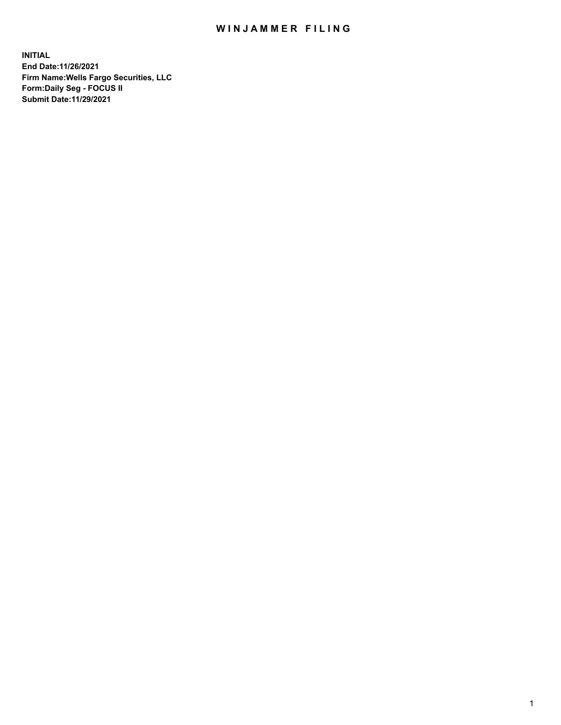## WIN JAMMER FILING

**INITIAL End Date:11/26/2021 Firm Name:Wells Fargo Securities, LLC Form:Daily Seg - FOCUS II Submit Date:11/29/2021**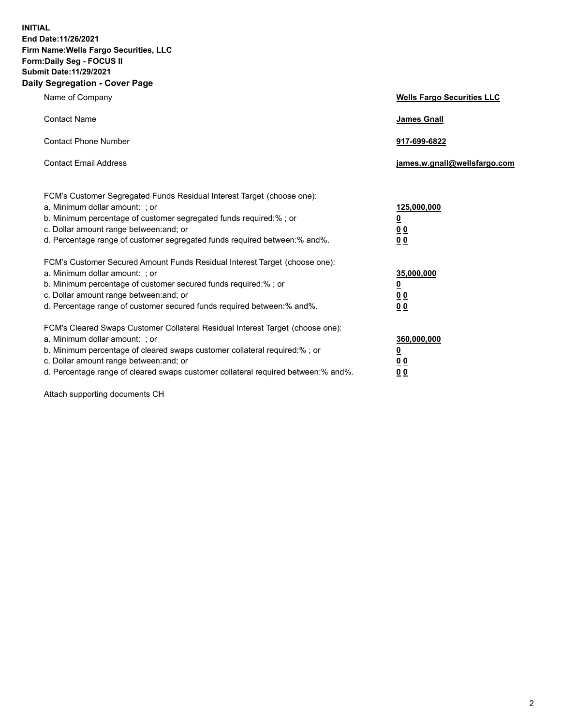**INITIAL End Date:11/26/2021 Firm Name:Wells Fargo Securities, LLC Form:Daily Seg - FOCUS II Submit Date:11/29/2021 Daily Segregation - Cover Page**

| Name of Company                                                                                                                                                                                                                                                                                                                | <b>Wells Fargo Securities LLC</b>                           |
|--------------------------------------------------------------------------------------------------------------------------------------------------------------------------------------------------------------------------------------------------------------------------------------------------------------------------------|-------------------------------------------------------------|
| <b>Contact Name</b>                                                                                                                                                                                                                                                                                                            | <b>James Gnall</b>                                          |
| <b>Contact Phone Number</b>                                                                                                                                                                                                                                                                                                    | 917-699-6822                                                |
| <b>Contact Email Address</b>                                                                                                                                                                                                                                                                                                   | james.w.gnall@wellsfargo.com                                |
| FCM's Customer Segregated Funds Residual Interest Target (choose one):<br>a. Minimum dollar amount: ; or<br>b. Minimum percentage of customer segregated funds required:% ; or<br>c. Dollar amount range between: and; or<br>d. Percentage range of customer segregated funds required between: % and %.                       | 125,000,000<br><u>0</u><br>0 <sub>0</sub><br>0 <sub>0</sub> |
| FCM's Customer Secured Amount Funds Residual Interest Target (choose one):<br>a. Minimum dollar amount: ; or<br>b. Minimum percentage of customer secured funds required:%; or<br>c. Dollar amount range between: and; or<br>d. Percentage range of customer secured funds required between: % and %.                          | 35,000,000<br><u>0</u><br>00<br>0 <sub>0</sub>              |
| FCM's Cleared Swaps Customer Collateral Residual Interest Target (choose one):<br>a. Minimum dollar amount: ; or<br>b. Minimum percentage of cleared swaps customer collateral required:% ; or<br>c. Dollar amount range between: and; or<br>d. Percentage range of cleared swaps customer collateral required between:% and%. | 360,000,000<br><u>0</u><br>00<br>00                         |

Attach supporting documents CH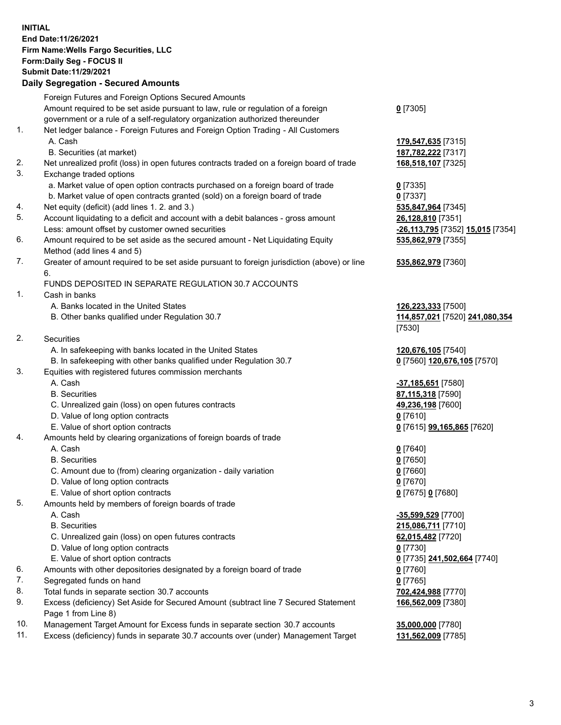## **INITIAL End Date:11/26/2021 Firm Name:Wells Fargo Securities, LLC Form:Daily Seg - FOCUS II Submit Date:11/29/2021**

## **Daily Segregation - Secured Amounts**

|     | Foreign Futures and Foreign Options Secured Amounts                                         |                                               |
|-----|---------------------------------------------------------------------------------------------|-----------------------------------------------|
|     | Amount required to be set aside pursuant to law, rule or regulation of a foreign            | $0$ [7305]                                    |
|     | government or a rule of a self-regulatory organization authorized thereunder                |                                               |
| 1.  | Net ledger balance - Foreign Futures and Foreign Option Trading - All Customers             |                                               |
|     | A. Cash                                                                                     | 179,547,635 [7315]                            |
|     | B. Securities (at market)                                                                   | 187,782,222 [7317]                            |
| 2.  | Net unrealized profit (loss) in open futures contracts traded on a foreign board of trade   | 168,518,107 [7325]                            |
| 3.  | Exchange traded options                                                                     |                                               |
|     | a. Market value of open option contracts purchased on a foreign board of trade              | $0$ [7335]                                    |
|     | b. Market value of open contracts granted (sold) on a foreign board of trade                | $0$ [7337]                                    |
| 4.  | Net equity (deficit) (add lines 1. 2. and 3.)                                               | 535,847,964 [7345]                            |
| 5.  | Account liquidating to a deficit and account with a debit balances - gross amount           |                                               |
|     | Less: amount offset by customer owned securities                                            | 26,128,810 [7351]                             |
| 6.  |                                                                                             | <mark>-26,113,795</mark> [7352] 15,015 [7354] |
|     | Amount required to be set aside as the secured amount - Net Liquidating Equity              | 535,862,979 [7355]                            |
| 7.  | Method (add lines 4 and 5)                                                                  |                                               |
|     | Greater of amount required to be set aside pursuant to foreign jurisdiction (above) or line | 535,862,979 [7360]                            |
|     | 6.                                                                                          |                                               |
|     | FUNDS DEPOSITED IN SEPARATE REGULATION 30.7 ACCOUNTS                                        |                                               |
| 1.  | Cash in banks                                                                               |                                               |
|     | A. Banks located in the United States                                                       | 126,223,333 [7500]                            |
|     | B. Other banks qualified under Regulation 30.7                                              | 114,857,021 [7520] 241,080,354                |
|     |                                                                                             | [7530]                                        |
| 2.  | Securities                                                                                  |                                               |
|     | A. In safekeeping with banks located in the United States                                   | 120,676,105 [7540]                            |
|     | B. In safekeeping with other banks qualified under Regulation 30.7                          | 0 [7560] 120,676,105 [7570]                   |
| 3.  | Equities with registered futures commission merchants                                       |                                               |
|     | A. Cash                                                                                     | -37,185,651 [7580]                            |
|     | <b>B.</b> Securities                                                                        | 87,115,318 [7590]                             |
|     | C. Unrealized gain (loss) on open futures contracts                                         | 49,236,198 [7600]                             |
|     | D. Value of long option contracts                                                           | $0$ [7610]                                    |
|     | E. Value of short option contracts                                                          | 0 [7615] 99,165,865 [7620]                    |
| 4.  | Amounts held by clearing organizations of foreign boards of trade                           |                                               |
|     | A. Cash                                                                                     | $0$ [7640]                                    |
|     | <b>B.</b> Securities                                                                        | $0$ [7650]                                    |
|     | C. Amount due to (from) clearing organization - daily variation                             | $0$ [7660]                                    |
|     | D. Value of long option contracts                                                           | $0$ [7670]                                    |
|     | E. Value of short option contracts                                                          | 0 [7675] 0 [7680]                             |
| 5.  | Amounts held by members of foreign boards of trade                                          |                                               |
|     | A. Cash                                                                                     | -35,599,529 [7700]                            |
|     | <b>B.</b> Securities                                                                        | 215,086,711 [7710]                            |
|     | C. Unrealized gain (loss) on open futures contracts                                         | 62,015,482 [7720]                             |
|     | D. Value of long option contracts                                                           | $0$ [7730]                                    |
|     | E. Value of short option contracts                                                          | 0 [7735] 241,502,664 [7740]                   |
| 6.  | Amounts with other depositories designated by a foreign board of trade                      | 0 [7760]                                      |
| 7.  | Segregated funds on hand                                                                    | $0$ [7765]                                    |
| 8.  | Total funds in separate section 30.7 accounts                                               | 702,424,988 [7770]                            |
| 9.  | Excess (deficiency) Set Aside for Secured Amount (subtract line 7 Secured Statement         | 166,562,009 [7380]                            |
|     | Page 1 from Line 8)                                                                         |                                               |
| 10. | Management Target Amount for Excess funds in separate section 30.7 accounts                 | 35,000,000 [7780]                             |
|     |                                                                                             |                                               |

11. Excess (deficiency) funds in separate 30.7 accounts over (under) Management Target **131,562,009** [7785]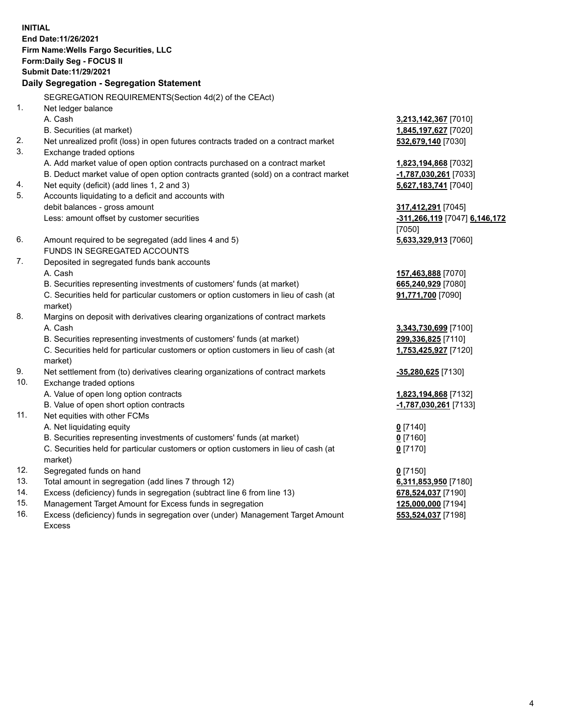**INITIAL End Date:11/26/2021 Firm Name:Wells Fargo Securities, LLC Form:Daily Seg - FOCUS II Submit Date:11/29/2021 Daily Segregation - Segregation Statement**

SEGREGATION REQUIREMENTS(Section 4d(2) of the CEAct)

|     | SEGREGATION REQUIREMENTS(Section 4d(2) of the CEACT)                                |                               |
|-----|-------------------------------------------------------------------------------------|-------------------------------|
| 1.  | Net ledger balance                                                                  |                               |
|     | A. Cash                                                                             | 3,213,142,367 [7010]          |
|     | B. Securities (at market)                                                           | 1,845,197,627 [7020]          |
| 2.  | Net unrealized profit (loss) in open futures contracts traded on a contract market  | 532,679,140 [7030]            |
| 3.  | Exchange traded options                                                             |                               |
|     | A. Add market value of open option contracts purchased on a contract market         | 1,823,194,868 [7032]          |
|     | B. Deduct market value of open option contracts granted (sold) on a contract market | -1,787,030,261 [7033]         |
| 4.  | Net equity (deficit) (add lines 1, 2 and 3)                                         | 5,627,183,741 [7040]          |
| 5.  | Accounts liquidating to a deficit and accounts with                                 |                               |
|     | debit balances - gross amount                                                       | 317,412,291 [7045]            |
|     | Less: amount offset by customer securities                                          | -311,266,119 [7047] 6,146,172 |
|     |                                                                                     | [7050]                        |
| 6.  | Amount required to be segregated (add lines 4 and 5)                                | 5,633,329,913 [7060]          |
|     | FUNDS IN SEGREGATED ACCOUNTS                                                        |                               |
| 7.  | Deposited in segregated funds bank accounts                                         |                               |
|     | A. Cash                                                                             | 157,463,888 [7070]            |
|     | B. Securities representing investments of customers' funds (at market)              | 665,240,929 [7080]            |
|     | C. Securities held for particular customers or option customers in lieu of cash (at | 91,771,700 [7090]             |
|     | market)                                                                             |                               |
| 8.  | Margins on deposit with derivatives clearing organizations of contract markets      |                               |
|     | A. Cash                                                                             | 3,343,730,699 [7100]          |
|     | B. Securities representing investments of customers' funds (at market)              | 299,336,825 [7110]            |
|     | C. Securities held for particular customers or option customers in lieu of cash (at | 1,753,425,927 [7120]          |
|     | market)                                                                             |                               |
| 9.  | Net settlement from (to) derivatives clearing organizations of contract markets     | $-35,280,625$ [7130]          |
| 10. | Exchange traded options                                                             |                               |
|     | A. Value of open long option contracts                                              | 1,823,194,868 [7132]          |
|     | B. Value of open short option contracts                                             | -1,787,030,261 [7133]         |
| 11. | Net equities with other FCMs                                                        |                               |
|     | A. Net liquidating equity                                                           | $0$ [7140]                    |
|     | B. Securities representing investments of customers' funds (at market)              | $0$ [7160]                    |
|     | C. Securities held for particular customers or option customers in lieu of cash (at | $0$ [7170]                    |
|     | market)                                                                             |                               |
| 12. | Segregated funds on hand                                                            | $0$ [7150]                    |
| 13. | Total amount in segregation (add lines 7 through 12)                                | 6,311,853,950 [7180]          |
| 14. | Excess (deficiency) funds in segregation (subtract line 6 from line 13)             | 678,524,037 [7190]            |
| 15. | Management Target Amount for Excess funds in segregation                            | 125,000,000 [7194]            |
| 16. | Excess (deficiency) funds in segregation over (under) Management Target Amount      | 553,524,037 [7198]            |
|     | <b>Excess</b>                                                                       |                               |